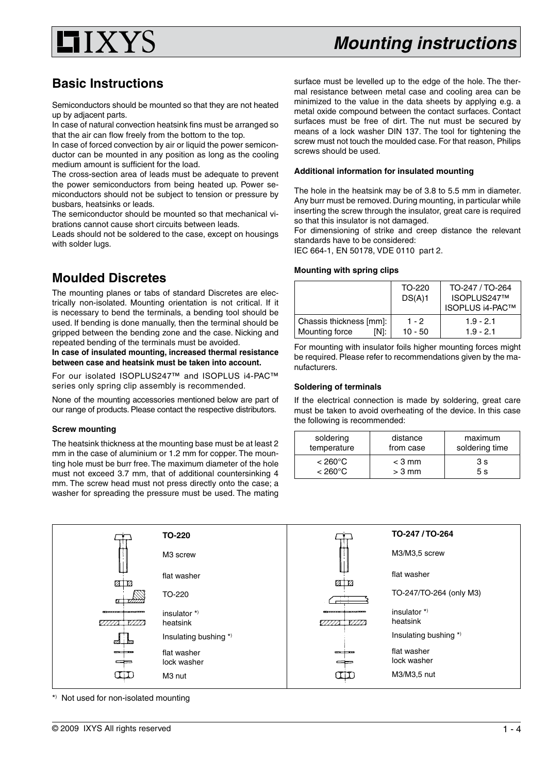

# **Basic Instructions**

Semiconductors should be mounted so that they are not heated up by adjacent parts.

In case of natural convection heatsink fins must be arranged so that the air can flow freely from the bottom to the top.

In case of forced convection by air or liquid the power semiconductor can be mounted in any position as long as the cooling medium amount is sufficient for the load.

The cross-section area of leads must be adequate to prevent the power semiconductors from being heated up. Power semiconductors should not be subject to tension or pressure by busbars, heatsinks or leads.

The semiconductor should be mounted so that mechanical vibrations cannot cause short circuits between leads.

Leads should not be soldered to the case, except on housings with solder lugs.

# **Moulded Discretes**

The mounting planes or tabs of standard Discretes are electrically non-isolated. Mounting orientation is not critical. If it is necessary to bend the terminals, a bending tool should be used. If bending is done manually, then the terminal should be gripped between the bending zone and the case. Nicking and repeated bending of the terminals must be avoided.

**In case of insulated mounting, increased thermal resistance between case and heatsink must be taken into account.**

For our isolated ISOPLUS247™ and ISOPLUS i4-PAC™ series only spring clip assembly is recommended.

None of the mounting accessories mentioned below are part of our range of products. Please contact the respective distributors.

# **Screw mounting**

The heatsink thickness at the mounting base must be at least 2 mm in the case of aluminium or 1.2 mm for copper. The mounting hole must be burr free. The maximum diameter of the hole must not exceed 3.7 mm, that of additional countersinking 4 mm. The screw head must not press directly onto the case; a washer for spreading the pressure must be used. The mating surface must be levelled up to the edge of the hole. The thermal resistance between metal case and cooling area can be minimized to the value in the data sheets by applying e.g. a metal oxide compound between the contact surfaces. Contact surfaces must be free of dirt. The nut must be secured by means of a lock washer DIN 137. The tool for tightening the screw must not touch the moulded case. For that reason, Philips screws should be used.

# **Additional information for insulated mounting**

The hole in the heatsink may be of 3.8 to 5.5 mm in diameter. Any burr must be removed. During mounting, in particular while inserting the screw through the insulator, great care is required so that this insulator is not damaged.

For dimensioning of strike and creep distance the relevant standards have to be considered:

IEC 664-1, EN 50178, VDE 0110 part 2.

# **Mounting with spring clips**

|                                                   | TO-220<br>DS(A)1   | TO-247 / TO-264<br>ISOPLUS247™<br><b>ISOPLUS i4-PAC™</b> |
|---------------------------------------------------|--------------------|----------------------------------------------------------|
| Chassis thickness [mm]:<br>Mounting force<br>IN1: | $1 - 2$<br>10 - 50 | $1.9 - 2.1$<br>$1.9 - 2.1$                               |

For mounting with insulator foils higher mounting forces might be required. Please refer to recommendations given by the manufacturers.

# **Soldering of terminals**

If the electrical connection is made by soldering, great care must be taken to avoid overheating of the device. In this case the following is recommended:

| soldering         | distance  | maximum        |
|-------------------|-----------|----------------|
| temperature       | from case | soldering time |
| $< 260^{\circ}$ C | $<$ 3 mm  | 3 s            |
| $< 260^{\circ}$ C | $> 3$ mm  | 5 s            |



\*) Not used for non-isolated mounting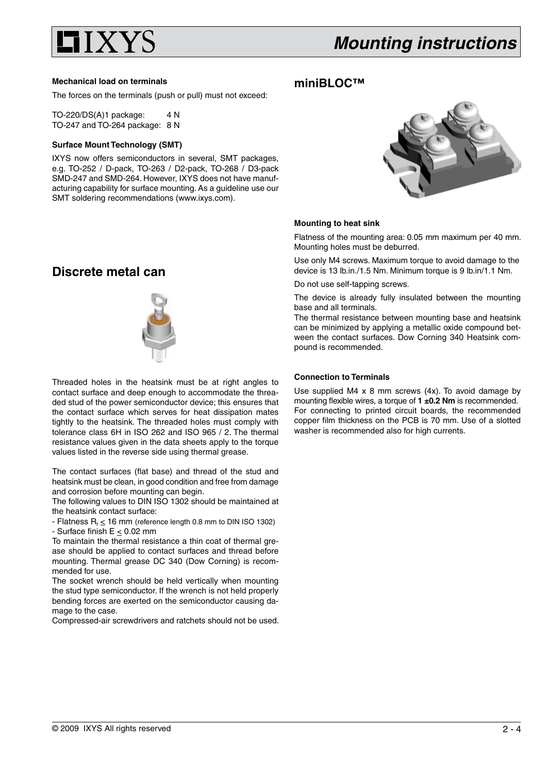

### **Mechanical load on terminals**

The forces on the terminals (push or pull) must not exceed:

TO-220/DS(A)1 package: 4 N TO-247 and TO-264 package: 8 N

# **Surface Mount Technology (SMT)**

IXYS now offers semiconductors in several, SMT packages, e.g. TO-252 / D-pack, TO-263 / D2-pack, TO-268 / D3-pack SMD-247 and SMD-264. However, IXYS does not have manufacturing capability for surface mounting. As a guideline use our SMT soldering recommendations (www.ixys.com).



#### **Mounting to heat sink**

**miniBLOC™**

Flatness of the mounting area: 0.05 mm maximum per 40 mm. Mounting holes must be deburred.

Use only M4 screws. Maximum torque to avoid damage to the device is 13 lb.in./1.5 Nm. Minimum torque is 9 lb.in/1.1 Nm.

Do not use self-tapping screws.

The device is already fully insulated between the mounting base and all terminals.

The thermal resistance between mounting base and heatsink can be minimized by applying a metallic oxide compound between the contact surfaces. Dow Corning 340 Heatsink compound is recommended.

#### **Connection to Terminals**

Use supplied M4 x 8 mm screws (4x). To avoid damage by mounting flexible wires, a torque of **1 ±0.2 Nm** is recommended. For connecting to printed circuit boards, the recommended copper film thickness on the PCB is 70 mm. Use of a slotted washer is recommended also for high currents.

# **Discrete metal can**



Threaded holes in the heatsink must be at right angles to contact surface and deep enough to accommodate the threaded stud of the power semiconductor device; this ensures that the contact surface which serves for heat dissipation mates tightly to the heatsink. The threaded holes must comply with tolerance class 6H in ISO 262 and ISO 965 / 2. The thermal resistance values given in the data sheets apply to the torque values listed in the reverse side using thermal grease.

The contact surfaces (flat base) and thread of the stud and heatsink must be clean, in good condition and free from damage and corrosion before mounting can begin.

The following values to DIN ISO 1302 should be maintained at the heatsink contact surface:

 $-$  Flatness R<sub>t</sub> < 16 mm (reference length 0.8 mm to DIN ISO 1302) - Surface finish E < 0.02 mm

To maintain the thermal resistance a thin coat of thermal grease should be applied to contact surfaces and thread before mounting. Thermal grease DC 340 (Dow Corning) is recommended for use.

The socket wrench should be held vertically when mounting the stud type semiconductor. If the wrench is not held properly bending forces are exerted on the semiconductor causing damage to the case.

Compressed-air screwdrivers and ratchets should not be used.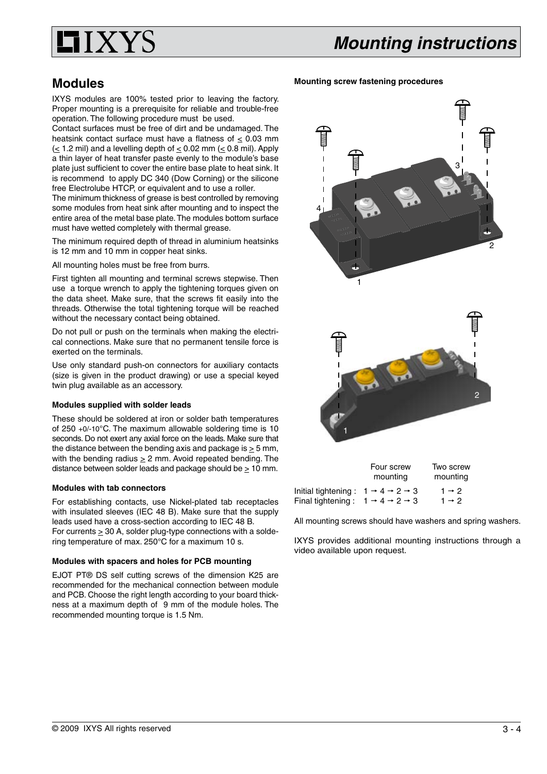

# **Modules**

IXYS modules are 100% tested prior to leaving the factory. Proper mounting is a prerequisite for reliable and trouble-free operation. The following procedure must be used.

Contact surfaces must be free of dirt and be undamaged. The heatsink contact surface must have a flatness of  $\leq$  0.03 mm  $\leq$  1.2 mil) and a levelling depth of  $\leq$  0.02 mm ( $\leq$  0.8 mil). Apply a thin layer of heat transfer paste evenly to the module's base plate just sufficient to cover the entire base plate to heat sink. It is recommend to apply DC 340 (Dow Corning) or the silicone free Electrolube HTCP, or equivalent and to use a roller.

The minimum thickness of grease is best controlled by removing some modules from heat sink after mounting and to inspect the entire area of the metal base plate. The modules bottom surface must have wetted completely with thermal grease.

The minimum required depth of thread in aluminium heatsinks is 12 mm and 10 mm in copper heat sinks.

All mounting holes must be free from burrs.

First tighten all mounting and terminal screws stepwise. Then use a torque wrench to apply the tightening torques given on the data sheet. Make sure, that the screws fit easily into the threads. Otherwise the total tightening torque will be reached without the necessary contact being obtained.

Do not pull or push on the terminals when making the electrical connections. Make sure that no permanent tensile force is exerted on the terminals.

Use only standard push-on connectors for auxiliary contacts (size is given in the product drawing) or use a special keyed twin plug available as an accessory.

# **Modules supplied with solder leads**

These should be soldered at iron or solder bath temperatures of 250 +0/-10°C. The maximum allowable soldering time is 10 seconds. Do not exert any axial force on the leads. Make sure that the distance between the bending axis and package is  $>$  5 mm, with the bending radius  $\geq 2$  mm. Avoid repeated bending. The distance between solder leads and package should be > 10 mm.

## **Modules with tab connectors**

For establishing contacts, use Nickel-plated tab receptacles with insulated sleeves (IEC 48 B). Make sure that the supply leads used have a cross-section according to IEC 48 B. For currents  $\geq 30$  A, solder plug-type connections with a soldering temperature of max. 250°C for a maximum 10 s.

## **Modules with spacers and holes for PCB mounting**

EJOT PT® DS self cutting screws of the dimension K25 are recommended for the mechanical connection between module and PCB. Choose the right length according to your board thickness at a maximum depth of 9 mm of the module holes. The recommended mounting torque is 1.5 Nm.





|                     | Four screw                                    | Two screw         |
|---------------------|-----------------------------------------------|-------------------|
|                     | mounting                                      | mounting          |
| Initial tightening: | $1 \rightarrow 4 \rightarrow 2 \rightarrow 3$ | $1 \rightarrow 2$ |
| Final tightening:   | $1 \rightarrow 4 \rightarrow 2 \rightarrow 3$ | $1 \rightarrow 2$ |

All mounting screws should have washers and spring washers.

IXYS provides additional mounting instructions through a video available upon request.